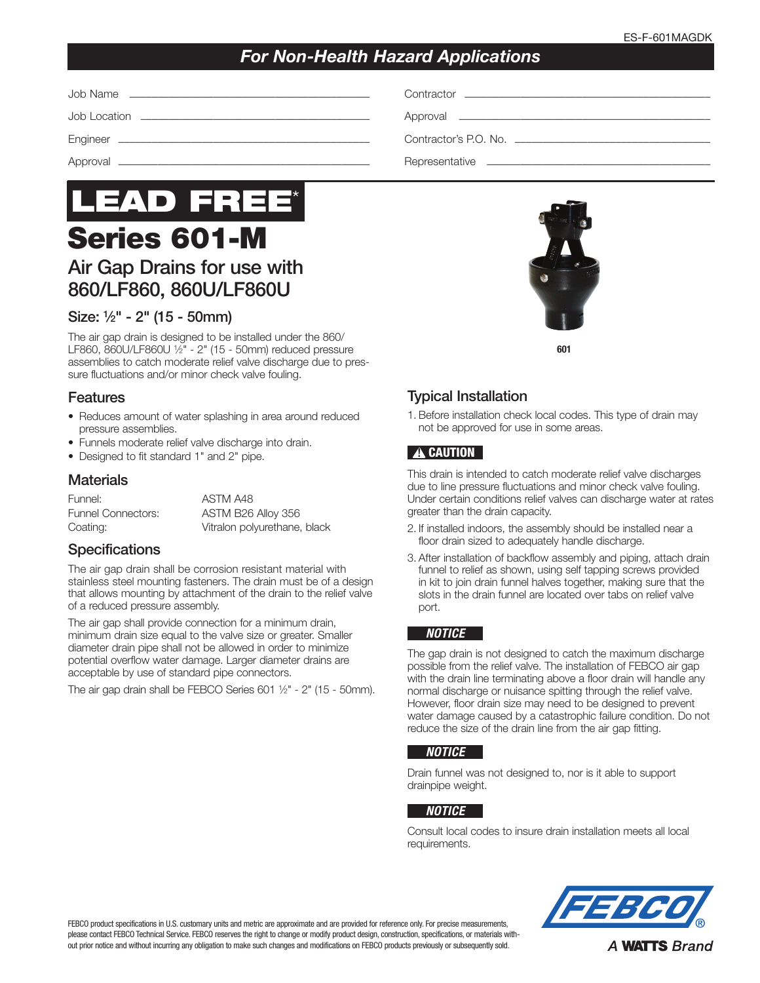## *For Non-Health Hazard Applications*

| Contractor's P.O. No. |
|-----------------------|
|                       |



# Air Gap Drains for use with 860/LF860, 860U/LF860U

## Size: 1⁄2" - 2" (15 - 50mm)

The air gap drain is designed to be installed under the 860/ LF860, 860U/LF860U 1⁄2" - 2" (15 - 50mm) reduced pressure assemblies to catch moderate relief valve discharge due to pressure fluctuations and/or minor check valve fouling.

## Features

- Reduces amount of water splashing in area around reduced pressure assemblies.
- Funnels moderate relief valve discharge into drain.
- Designed to fit standard 1" and 2" pipe.

#### **Materials**

Funnel: ASTM A48

Funnel Connectors: ASTM B26 Alloy 356 Coating: Vitralon polyurethane, black

## **Specifications**

The air gap drain shall be corrosion resistant material with stainless steel mounting fasteners. The drain must be of a design that allows mounting by attachment of the drain to the relief valve of a reduced pressure assembly.

The air gap shall provide connection for a minimum drain, minimum drain size equal to the valve size or greater. Smaller diameter drain pipe shall not be allowed in order to minimize potential overflow water damage. Larger diameter drains are acceptable by use of standard pipe connectors.

The air gap drain shall be FEBCO Series 601  $\frac{1}{2}$ " - 2" (15 - 50mm).



## Typical Installation

1. Before installation check local codes. This type of drain may not be approved for use in some areas.

## **A CAUTION**

This drain is intended to catch moderate relief valve discharges due to line pressure fluctuations and minor check valve fouling. Under certain conditions relief valves can discharge water at rates greater than the drain capacity.

- 2. If installed indoors, the assembly should be installed near a floor drain sized to adequately handle discharge.
- 3. After installation of backflow assembly and piping, attach drain funnel to relief as shown, using self tapping screws provided in kit to join drain funnel halves together, making sure that the slots in the drain funnel are located over tabs on relief valve port.

#### *NOTICE*

The gap drain is not designed to catch the maximum discharge possible from the relief valve. The installation of FEBCO air gap with the drain line terminating above a floor drain will handle any normal discharge or nuisance spitting through the relief valve. However, floor drain size may need to be designed to prevent water damage caused by a catastrophic failure condition. Do not reduce the size of the drain line from the air gap fitting.

#### *NOTICE*

Drain funnel was not designed to, nor is it able to support drainpipe weight.

#### *NOTICE*

Consult local codes to insure drain installation meets all local requirements.



FEBCO product specifications in U.S. customary units and metric are approximate and are provided for reference only. For precise measurements, please contact FEBCO Technical Service. FEBCO reserves the right to change or modify product design, construction, specifications, or materials without prior notice and without incurring any obligation to make such changes and modifications on FEBCO products previously or subsequently sold.

**A WATTS Brand**